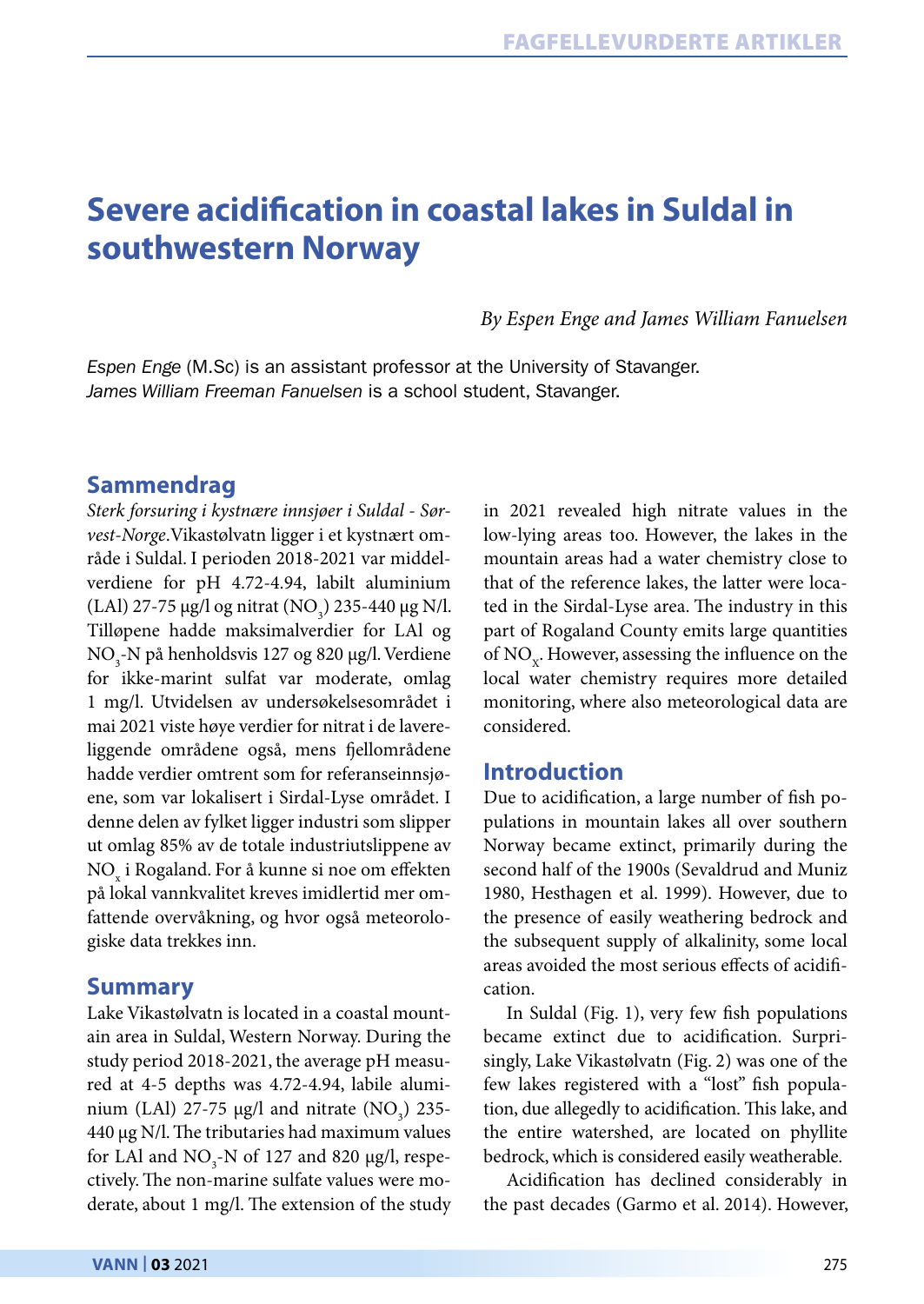# **Severe acidification in coastal lakes in Suldal in southwestern Norway**

*By Espen Enge and James William Fanuelsen* 

*Espen Enge* (M.Sc) is an assistant professor at the University of Stavanger. *James William Freeman Fanuelsen* is a school student, Stavanger.

# **Sammendrag**

*Sterk forsuring i kystnære innsjøer i Suldal - Sørvest-Norge*.Vikastølvatn ligger i et kystnært område i Suldal. I perioden 2018-2021 var middelverdiene for pH 4.72-4.94, labilt aluminium (LAl) 27-75  $\mu$ g/l og nitrat (NO<sub>3</sub>) 235-440  $\mu$ g N/l. Tilløpene hadde maksimalverdier for LAl og NO<sub>3</sub>-N på henholdsvis 127 og 820 µg/l. Verdiene for ikke-marint sulfat var moderate, omlag 1 mg/l. Utvidelsen av undersøkelsesområdet i mai 2021 viste høye verdier for nitrat i de lavereliggende områdene også, mens fjellområdene hadde verdier omtrent som for referanseinnsjøene, som var lokalisert i Sirdal-Lyse området. I denne delen av fylket ligger industri som slipper ut omlag 85% av de totale industriutslippene av  $\mathrm{NO}_{_\mathrm{x}}$  i Rogaland. For å kunne si noe om effekten på lokal vannkvalitet kreves imidlertid mer omfattende overvåkning, og hvor også meteorologiske data trekkes inn.

# **Summary**

Lake Vikastølvatn is located in a coastal mountain area in Suldal, Western Norway. During the study period 2018-2021, the average pH measured at 4-5 depths was 4.72-4.94, labile aluminium (LAl) 27-75  $\mu$ g/l and nitrate (NO<sub>3</sub>) 235-440 µg N/l. The tributaries had maximum values for LAl and  $NO_3$ -N of 127 and 820  $\mu$ g/l, respectively. The non-marine sulfate values were moderate, about 1 mg/l. The extension of the study in 2021 revealed high nitrate values in the low-lying areas too. However, the lakes in the mountain areas had a water chemistry close to that of the reference lakes, the latter were located in the Sirdal-Lyse area. The industry in this part of Rogaland County emits large quantities of NO<sub>x</sub>. However, assessing the influence on the local water chemistry requires more detailed monitoring, where also meteorological data are considered.

# **Introduction**

Due to acidification, a large number of fish populations in mountain lakes all over southern Norway became extinct, primarily during the second half of the 1900s (Sevaldrud and Muniz 1980, Hesthagen et al. 1999). However, due to the presence of easily weathering bedrock and the subsequent supply of alkalinity, some local areas avoided the most serious effects of acidification.

In Suldal (Fig. 1), very few fish populations became extinct due to acidification. Surprisingly, Lake Vikastølvatn (Fig. 2) was one of the few lakes registered with a "lost" fish population, due allegedly to acidification. This lake, and the entire watershed, are located on phyllite bedrock, which is considered easily weatherable.

Acidification has declined considerably in the past decades (Garmo et al. 2014). However,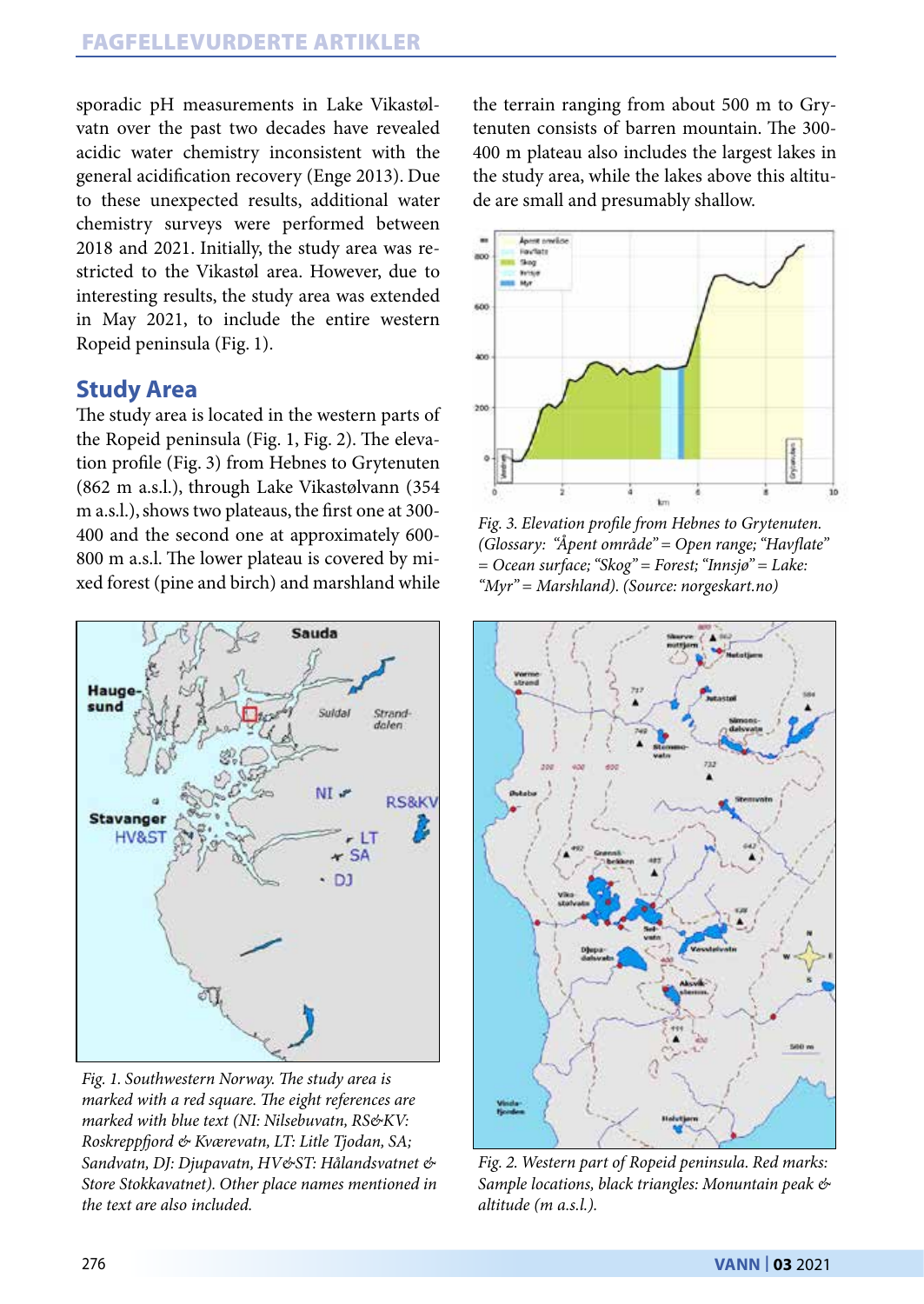sporadic pH measurements in Lake Vikastølvatn over the past two decades have revealed acidic water chemistry inconsistent with the general acidification recovery (Enge 2013). Due to these unexpected results, additional water chemistry surveys were performed between 2018 and 2021. Initially, the study area was restricted to the Vikastøl area. However, due to interesting results, the study area was extended in May 2021, to include the entire western Ropeid peninsula (Fig. 1).

# **Study Area**

The study area is located in the western parts of the Ropeid peninsula (Fig. 1, Fig. 2). The elevation profile (Fig. 3) from Hebnes to Grytenuten (862 m a.s.l.), through Lake Vikastølvann (354 m a.s.l.), shows two plateaus, the first one at 300- 400 and the second one at approximately 600- 800 m a.s.l. The lower plateau is covered by mixed forest (pine and birch) and marshland while



*Fig. 1. Southwestern Norway. The study area is marked with a red square. The eight references are marked with blue text (NI: Nilsebuvatn, RS&KV: Roskreppfjord & Kværevatn, LT: Litle Tjodan, SA; Sandvatn, DJ: Djupavatn, HV&ST: Hålandsvatnet & Store Stokkavatnet). Other place names mentioned in the text are also included.*

the terrain ranging from about 500 m to Grytenuten consists of barren mountain. The 300- 400 m plateau also includes the largest lakes in the study area, while the lakes above this altitude are small and presumably shallow.



*Fig. 3. Elevation profile from Hebnes to Grytenuten. (Glossary: "Åpent område" = Open range; "Havflate" = Ocean surface; "Skog" = Forest; "Innsjø" = Lake: "Myr" = Marshland). (Source: norgeskart.no)*



*Fig. 2. Western part of Ropeid peninsula. Red marks: Sample locations, black triangles: Monuntain peak & altitude (m a.s.l.).*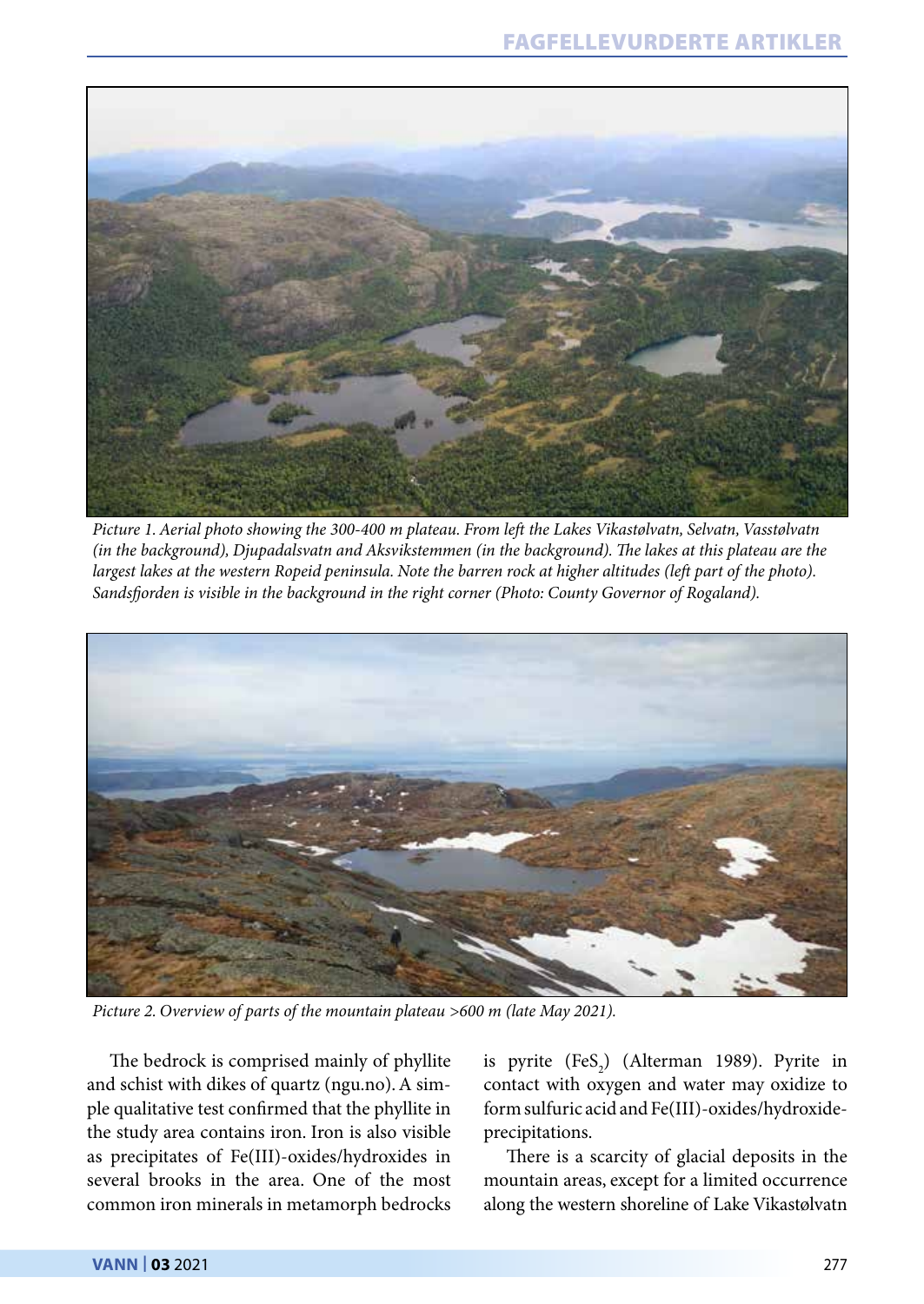

*Picture 1. Aerial photo showing the 300-400 m plateau. From left the Lakes Vikastølvatn, Selvatn, Vasstølvatn (in the background), Djupadalsvatn and Aksvikstemmen (in the background). The lakes at this plateau are the largest lakes at the western Ropeid peninsula. Note the barren rock at higher altitudes (left part of the photo). Sandsfjorden is visible in the background in the right corner (Photo: County Governor of Rogaland).*



*Picture 2. Overview of parts of the mountain plateau >600 m (late May 2021).*

The bedrock is comprised mainly of phyllite and schist with dikes of quartz (ngu.no). A simple qualitative test confirmed that the phyllite in the study area contains iron. Iron is also visible as precipitates of Fe(III)-oxides/hydroxides in several brooks in the area. One of the most common iron minerals in metamorph bedrocks

is pyrite  $(FeS_2)$  (Alterman 1989). Pyrite in contact with oxygen and water may oxidize to form sulfuric acid and Fe(III)-oxides/hydroxideprecipitations.

There is a scarcity of glacial deposits in the mountain areas, except for a limited occurrence along the western shoreline of Lake Vikastølvatn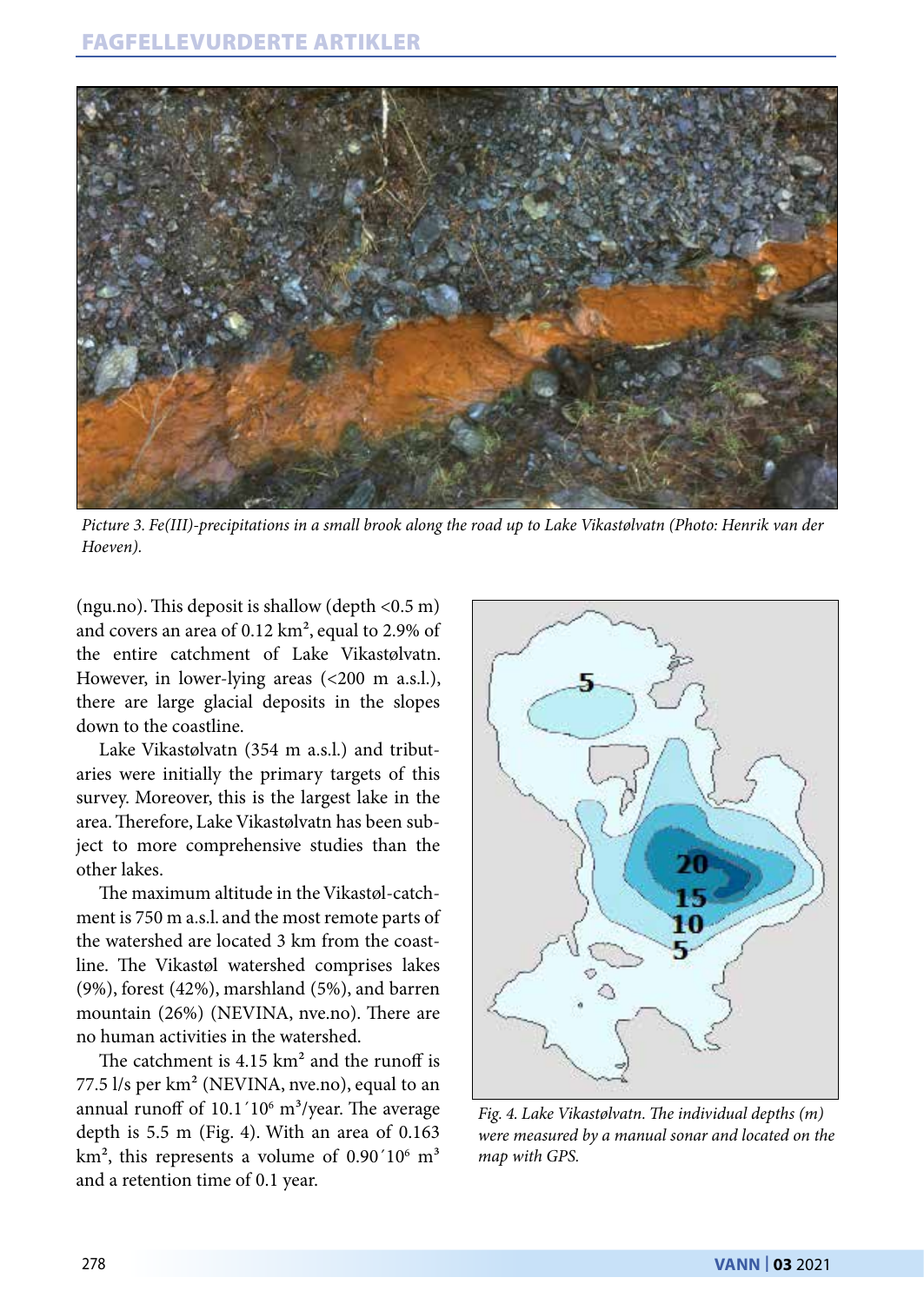

*Picture 3. Fe(III)-precipitations in a small brook along the road up to Lake Vikastølvatn (Photo: Henrik van der Hoeven).*

(ngu.no). This deposit is shallow (depth <0.5 m) and covers an area of 0.12 km², equal to 2.9% of the entire catchment of Lake Vikastølvatn. However, in lower-lying areas (<200 m a.s.l.), there are large glacial deposits in the slopes down to the coastline.

Lake Vikastølvatn (354 m a.s.l.) and tributaries were initially the primary targets of this survey. Moreover, this is the largest lake in the area. Therefore, Lake Vikastølvatn has been subject to more comprehensive studies than the other lakes.

The maximum altitude in the Vikastøl-catchment is 750 m a.s.l. and the most remote parts of the watershed are located 3 km from the coastline. The Vikastøl watershed comprises lakes (9%), forest (42%), marshland (5%), and barren mountain (26%) (NEVINA, nve.no). There are no human activities in the watershed.

The catchment is  $4.15 \text{ km}^2$  and the runoff is 77.5 l/s per km² (NEVINA, nve.no), equal to an annual runoff of  $10.1'10<sup>6</sup>$  m<sup>3</sup>/year. The average depth is 5.5 m (Fig. 4). With an area of 0.163  $\mathrm{km^2}$ , this represents a volume of 0.90 $^{\prime}10^{\circ}$  m<sup>3</sup> and a retention time of 0.1 year.



*Fig. 4. Lake Vikastølvatn. The individual depths (m) were measured by a manual sonar and located on the map with GPS.*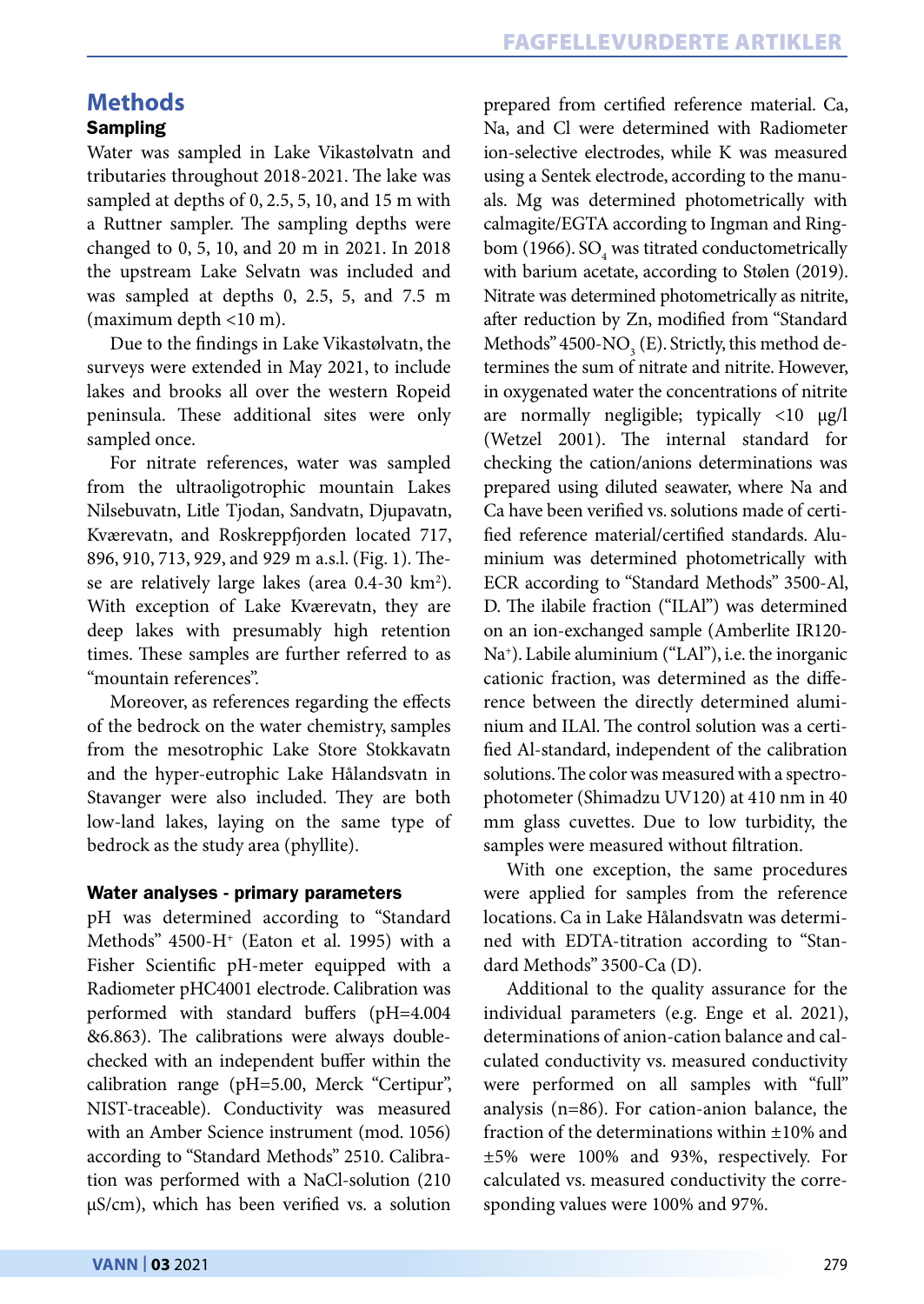# **Methods**

# **Sampling**

Water was sampled in Lake Vikastølvatn and tributaries throughout 2018-2021. The lake was sampled at depths of 0, 2.5, 5, 10, and 15 m with a Ruttner sampler. The sampling depths were changed to 0, 5, 10, and 20 m in 2021. In 2018 the upstream Lake Selvatn was included and was sampled at depths 0, 2.5, 5, and 7.5 m (maximum depth <10 m).

Due to the findings in Lake Vikastølvatn, the surveys were extended in May 2021, to include lakes and brooks all over the western Ropeid peninsula. These additional sites were only sampled once.

For nitrate references, water was sampled from the ultraoligotrophic mountain Lakes Nilsebuvatn, Litle Tjodan, Sandvatn, Djupavatn, Kværevatn, and Roskreppfjorden located 717, 896, 910, 713, 929, and 929 m a.s.l. (Fig. 1). These are relatively large lakes (area 0.4-30 km<sup>2</sup>). With exception of Lake Kværevatn, they are deep lakes with presumably high retention times. These samples are further referred to as "mountain references".

Moreover, as references regarding the effects of the bedrock on the water chemistry, samples from the mesotrophic Lake Store Stokkavatn and the hyper-eutrophic Lake Hålandsvatn in Stavanger were also included. They are both low-land lakes, laying on the same type of bedrock as the study area (phyllite).

#### Water analyses - primary parameters

pH was determined according to "Standard Methods" 4500-H+ (Eaton et al. 1995) with a Fisher Scientific pH-meter equipped with a Radiometer pHC4001 electrode. Calibration was performed with standard buffers (pH=4.004 &6.863). The calibrations were always doublechecked with an independent buffer within the calibration range (pH=5.00, Merck "Certipur", NIST-traceable). Conductivity was measured with an Amber Science instrument (mod. 1056) according to "Standard Methods" 2510. Calibration was performed with a NaCl-solution (210 µS/cm), which has been verified vs. a solution prepared from certified reference material. Ca, Na, and Cl were determined with Radiometer ion-selective electrodes, while K was measured using a Sentek electrode, according to the manuals. Mg was determined photometrically with calmagite/EGTA according to Ingman and Ringbom (1966). S $O_4$  was titrated conductometrically with barium acetate, according to Stølen (2019). Nitrate was determined photometrically as nitrite, after reduction by Zn, modified from "Standard Methods" 4500- $\rm NO\mathstrut_{3}$  (E). Strictly, this method determines the sum of nitrate and nitrite. However, in oxygenated water the concentrations of nitrite are normally negligible; typically <10 µg/l (Wetzel 2001). The internal standard for checking the cation/anions determinations was prepared using diluted seawater, where Na and Ca have been verified vs. solutions made of certified reference material/certified standards. Aluminium was determined photometrically with ECR according to "Standard Methods" 3500-Al, D. The ilabile fraction ("ILAl") was determined on an ion-exchanged sample (Amberlite IR120- Na+ ). Labile aluminium ("LAl"), i.e. the inorganic cationic fraction, was determined as the difference between the directly determined aluminium and ILAl. The control solution was a certified Al-standard, independent of the calibration solutions. The color was measured with a spectrophotometer (Shimadzu UV120) at 410 nm in 40 mm glass cuvettes. Due to low turbidity, the samples were measured without filtration.

With one exception, the same procedures were applied for samples from the reference locations. Ca in Lake Hålandsvatn was determined with EDTA-titration according to "Standard Methods" 3500-Ca (D).

Additional to the quality assurance for the individual parameters (e.g. Enge et al. 2021), determinations of anion-cation balance and calculated conductivity vs. measured conductivity were performed on all samples with "full" analysis (n=86). For cation-anion balance, the fraction of the determinations within ±10% and ±5% were 100% and 93%, respectively. For calculated vs. measured conductivity the corresponding values were 100% and 97%.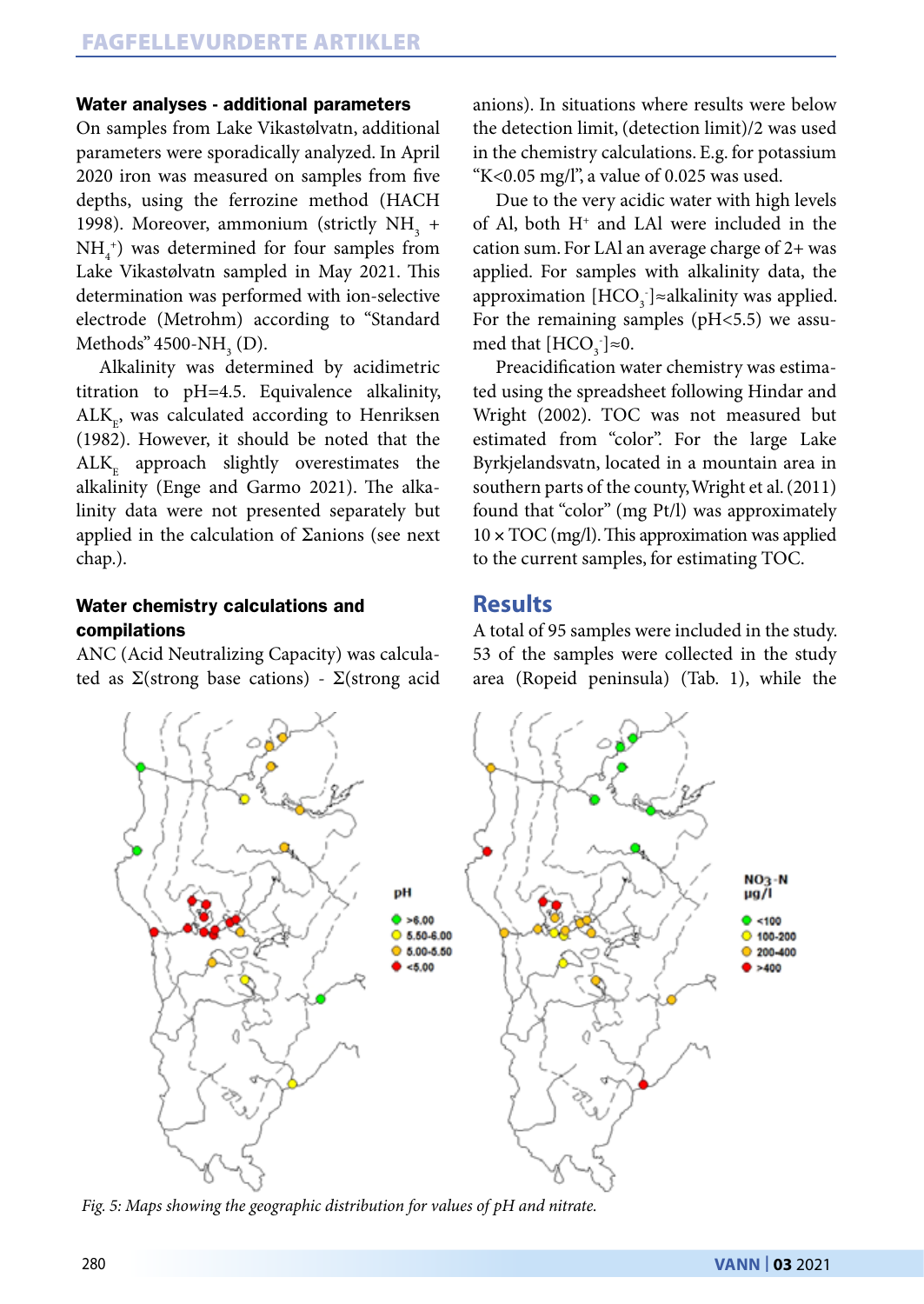#### Water analyses - additional parameters

On samples from Lake Vikastølvatn, additional parameters were sporadically analyzed. In April 2020 iron was measured on samples from five depths, using the ferrozine method (HACH 1998). Moreover, ammonium (strictly  $NH<sub>3</sub>$  +  $NH<sub>4</sub><sup>+</sup>$ ) was determined for four samples from Lake Vikastølvatn sampled in May 2021. This determination was performed with ion-selective electrode (Metrohm) according to "Standard Methods" 4500- $NH<sub>3</sub>$  (D).

Alkalinity was determined by acidimetric titration to pH=4.5. Equivalence alkalinity,  $\mathrm{ALK}_{_{\mathrm{E}}}$ , was calculated according to Henriksen (1982). However, it should be noted that the  $ALK<sub>E</sub>$  approach slightly overestimates the alkalinity (Enge and Garmo 2021). The alkalinity data were not presented separately but applied in the calculation of  $\Sigma$ anions (see next chap.).

#### Water chemistry calculations and compilations

ANC (Acid Neutralizing Capacity) was calculated as  $\Sigma$ (strong base cations) -  $\Sigma$ (strong acid anions). In situations where results were below the detection limit, (detection limit)/2 was used in the chemistry calculations. E.g. for potassium "K<0.05 mg/l", a value of  $0.025$  was used.

Due to the very acidic water with high levels of Al, both  $H^+$  and LAl were included in the cation sum. For LAl an average charge of 2+ was applied. For samples with alkalinity data, the approximation  $[HCO<sub>3</sub>$   $]\approx$ alkalinity was applied. For the remaining samples (pH<5.5) we assumed that  $[HCO<sub>3</sub>]<sub>\approx</sub>0$ .

Preacidification water chemistry was estimated using the spreadsheet following Hindar and Wright (2002). TOC was not measured but estimated from "color". For the large Lake Byrkjelandsvatn, located in a mountain area in southern parts of the county, Wright et al. (2011) found that "color" (mg Pt/l) was approximately  $10 \times TOC$  (mg/l). This approximation was applied to the current samples, for estimating TOC.

### **Results**

A total of 95 samples were included in the study. 53 of the samples were collected in the study area (Ropeid peninsula) (Tab. 1), while the



*Fig. 5: Maps showing the geographic distribution for values of pH and nitrate.*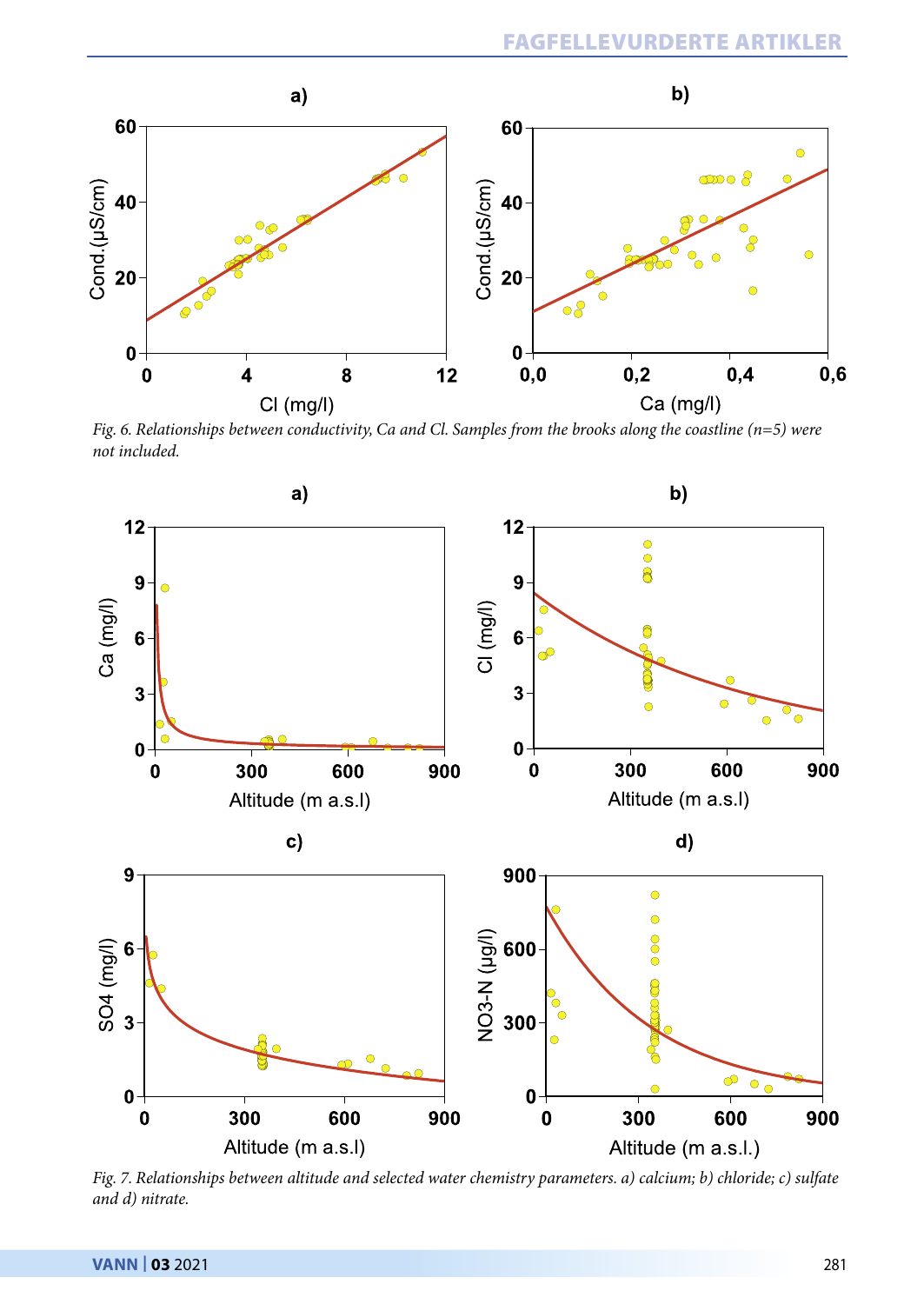

*Fig. 6. Relationships between conductivity, Ca and Cl. Samples from the brooks along the coastline (n=5) were not included.*



*Fig. 7. Relationships between altitude and selected water chemistry parameters. a) calcium; b) chloride; c) sulfate and d) nitrate.*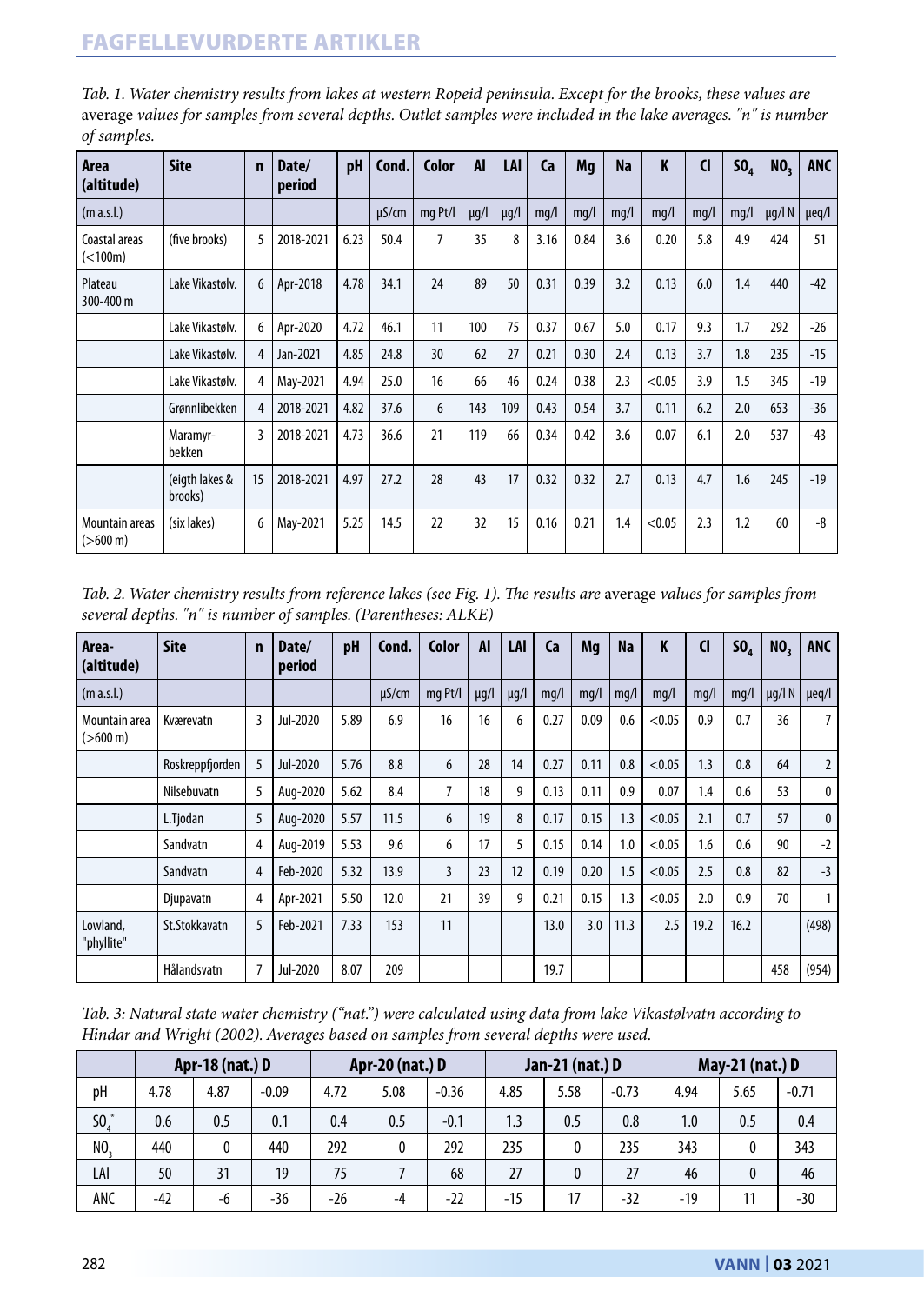| Area<br>(altitude)                   | <b>Site</b>               | n  | Date/<br>period | pH   | Cond.      | Color          | <b>AI</b> | LAI       | Ca   | Ma   | <b>Na</b> | K      | <b>CI</b> | SO <sub>4</sub> | NO <sub>2</sub> | <b>ANC</b> |
|--------------------------------------|---------------------------|----|-----------------|------|------------|----------------|-----------|-----------|------|------|-----------|--------|-----------|-----------------|-----------------|------------|
| (m a.s.l.)                           |                           |    |                 |      | $\mu$ S/cm | mg Pt/I        | $\mu$ g/l | $\mu$ g/l | mq/l | mq/l | mq/l      | mq/l   | mq/l      | mq/l            | $\mu$ g/l N     | $\mu$ eq/l |
| Coastal areas<br>(< 100m)            | (five brooks)             | 5  | 2018-2021       | 6.23 | 50.4       | $\overline{7}$ | 35        | 8         | 3.16 | 0.84 | 3.6       | 0.20   | 5.8       | 4.9             | 424             | 51         |
| Plateau<br>300-400 m                 | Lake Vikastølv.           | 6  | Apr-2018        | 4.78 | 34.1       | 24             | 89        | 50        | 0.31 | 0.39 | 3.2       | 0.13   | 6.0       | 1.4             | 440             | $-42$      |
|                                      | Lake Vikastølv.           | 6  | Apr-2020        | 4.72 | 46.1       | 11             | 100       | 75        | 0.37 | 0.67 | 5.0       | 0.17   | 9.3       | 1.7             | 292             | $-26$      |
|                                      | Lake Vikastølv.           | 4  | Jan-2021        | 4.85 | 24.8       | 30             | 62        | 27        | 0.21 | 0.30 | 2.4       | 0.13   | 3.7       | 1.8             | 235             | $-15$      |
|                                      | Lake Vikastølv.           | 4  | May-2021        | 4.94 | 25.0       | 16             | 66        | 46        | 0.24 | 0.38 | 2.3       | < 0.05 | 3.9       | 1.5             | 345             | $-19$      |
|                                      | Grønnlibekken             | 4  | 2018-2021       | 4.82 | 37.6       | 6              | 143       | 109       | 0.43 | 0.54 | 3.7       | 0.11   | 6.2       | 2.0             | 653             | $-36$      |
|                                      | Maramyr-<br>bekken        | 3  | 2018-2021       | 4.73 | 36.6       | 21             | 119       | 66        | 0.34 | 0.42 | 3.6       | 0.07   | 6.1       | 2.0             | 537             | $-43$      |
|                                      | (eigth lakes &<br>brooks) | 15 | 2018-2021       | 4.97 | 27.2       | 28             | 43        | 17        | 0.32 | 0.32 | 2.7       | 0.13   | 4.7       | 1.6             | 245             | $-19$      |
| Mountain areas<br>$(>600 \text{ m})$ | (six lakes)               | 6  | May-2021        | 5.25 | 14.5       | 22             | 32        | 15        | 0.16 | 0.21 | 1.4       | < 0.05 | 2.3       | 1.2             | 60              | $-8$       |

*Tab. 1. Water chemistry results from lakes at western Ropeid peninsula. Except for the brooks, these values are*  average *values for samples from several depths. Outlet samples were included in the lake averages. "n" is number of samples.*

*Tab. 2. Water chemistry results from reference lakes (see Fig. 1). The results are* average *values for samples from several depths. "n" is number of samples. (Parentheses: ALKE)*

| Area-<br>(altitude)                 | <b>Site</b>     | n | Date/<br>period | pH   | Cond.      | Color   | <b>AI</b> | LAI       | Ca   | Mg   | <b>Na</b> | K      | $\mathsf{C}$ | SO <sub>4</sub> | NO <sub>2</sub> | <b>ANC</b>     |
|-------------------------------------|-----------------|---|-----------------|------|------------|---------|-----------|-----------|------|------|-----------|--------|--------------|-----------------|-----------------|----------------|
| (m a.s.l.)                          |                 |   |                 |      | $\mu$ S/cm | mg Pt/I | $\mu q/l$ | $\mu$ g/l | mq/l | mq/l | mq/l      | mq/l   | mq/l         | mq/l            | $\mu$ g/l N     | $\mu$ eq/l     |
| Mountain area<br>$(>600 \text{ m})$ | Kværevatn       | 3 | Jul-2020        | 5.89 | 6.9        | 16      | 16        | 6         | 0.27 | 0.09 | 0.6       | < 0.05 | 0.9          | 0.7             | 36              | 7              |
|                                     | Roskreppfjorden | 5 | Jul-2020        | 5.76 | 8.8        | 6       | 28        | 14        | 0.27 | 0.11 | 0.8       | < 0.05 | 1.3          | 0.8             | 64              | $\overline{2}$ |
|                                     | Nilsebuvatn     | 5 | Aug-2020        | 5.62 | 8.4        | 7       | 18        | 9         | 0.13 | 0.11 | 0.9       | 0.07   | 1.4          | 0.6             | 53              | 0              |
|                                     | L.Tjodan        | 5 | Aug-2020        | 5.57 | 11.5       | 6       | 19        | 8         | 0.17 | 0.15 | 1.3       | < 0.05 | 2.1          | 0.7             | 57              | $\mathbf{0}$   |
|                                     | Sandvatn        | 4 | Aug-2019        | 5.53 | 9.6        | 6       | 17        | 5         | 0.15 | 0.14 | 1.0       | < 0.05 | 1.6          | 0.6             | 90              | $-2$           |
|                                     | Sandvatn        | 4 | Feb-2020        | 5.32 | 13.9       | 3       | 23        | 12        | 0.19 | 0.20 | 1.5       | < 0.05 | 2.5          | 0.8             | 82              | $-3$           |
|                                     | Djupavatn       | 4 | Apr-2021        | 5.50 | 12.0       | 21      | 39        | 9         | 0.21 | 0.15 | 1.3       | < 0.05 | 2.0          | 0.9             | 70              | 1              |
| Lowland,<br>"phyllite"              | St.Stokkavatn   | 5 | Feb-2021        | 7.33 | 153        | 11      |           |           | 13.0 | 3.0  | 11.3      | 2.5    | 19.2         | 16.2            |                 | (498)          |
|                                     | Hålandsvatn     | 7 | Jul-2020        | 8.07 | 209        |         |           |           | 19.7 |      |           |        |              |                 | 458             | (954)          |

*Tab. 3: Natural state water chemistry ("nat.") were calculated using data from lake Vikastølvatn according to Hindar and Wright (2002). Averages based on samples from several depths were used.* 

|        |       | Apr-18 (nat.) D |         |       | Apr-20 (nat.) D |         |       | Jan-21 (nat.) D |         | May-21 (nat.) D |      |         |  |
|--------|-------|-----------------|---------|-------|-----------------|---------|-------|-----------------|---------|-----------------|------|---------|--|
| pH     | 4.78  | 4.87            | $-0.09$ | 4.72  | 5.08            | $-0.36$ | 4.85  | 5.58            | $-0.73$ | 4.94            | 5.65 | $-0.71$ |  |
| $50^*$ | 0.6   | 0.5             | 0.1     | 0.4   | 0.5             | $-0.1$  | 1.3   | 0.5             | 0.8     | 1.0             | 0.5  | 0.4     |  |
| NO.    | 440   | 0               | 440     | 292   | 0               | 292     | 235   | 0               | 235     | 343             |      | 343     |  |
| LAI    | 50    | 31              | 19      | 75    |                 | 68      | 27    | 0               | 27      | 46              | 0    | 46      |  |
| ANC    | $-42$ | -6              | $-36$   | $-26$ | $-4$            | $-22$   | $-15$ | 17              | $-32$   | -19             | 11   | $-30$   |  |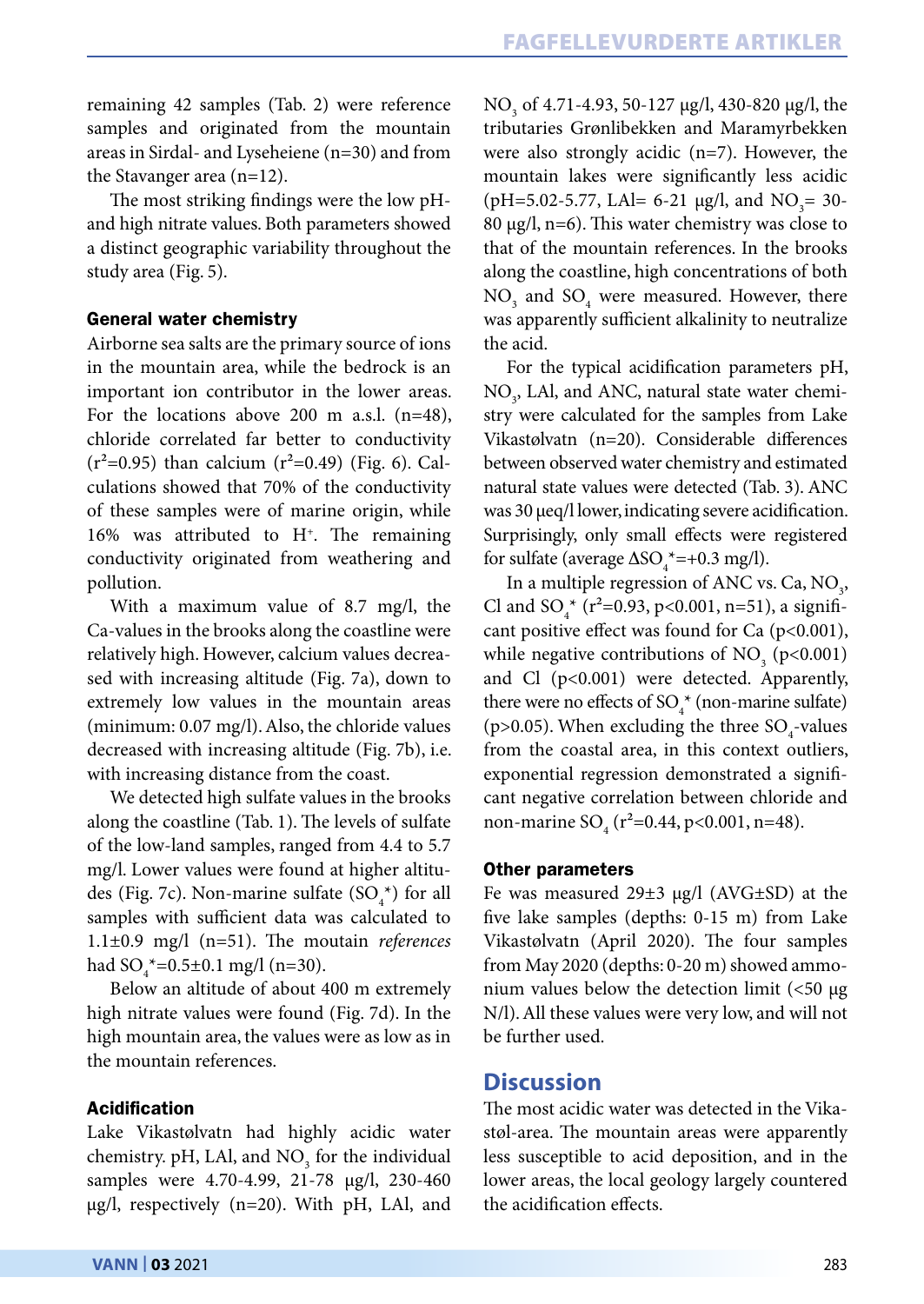remaining 42 samples (Tab. 2) were reference samples and originated from the mountain areas in Sirdal- and Lyseheiene (n=30) and from the Stavanger area (n=12).

The most striking findings were the low pHand high nitrate values. Both parameters showed a distinct geographic variability throughout the study area (Fig. 5).

#### General water chemistry

Airborne sea salts are the primary source of ions in the mountain area, while the bedrock is an important ion contributor in the lower areas. For the locations above 200 m a.s.l. (n=48), chloride correlated far better to conductivity  $(r^2=0.95)$  than calcium  $(r^2=0.49)$  (Fig. 6). Calculations showed that 70% of the conductivity of these samples were of marine origin, while 16% was attributed to H+. The remaining conductivity originated from weathering and pollution.

With a maximum value of 8.7 mg/l, the Ca-values in the brooks along the coastline were relatively high. However, calcium values decreased with increasing altitude (Fig. 7a), down to extremely low values in the mountain areas (minimum: 0.07 mg/l). Also, the chloride values decreased with increasing altitude (Fig. 7b), i.e. with increasing distance from the coast.

We detected high sulfate values in the brooks along the coastline (Tab. 1). The levels of sulfate of the low-land samples, ranged from 4.4 to 5.7 mg/l. Lower values were found at higher altitudes (Fig. 7c). Non-marine sulfate  $(SO_4^*)$  for all samples with sufficient data was calculated to 1.1±0.9 mg/l (n=51). The moutain *references* had  $SO_4^*$ =0.5±0.1 mg/l (n=30).

Below an altitude of about 400 m extremely high nitrate values were found (Fig. 7d). In the high mountain area, the values were as low as in the mountain references.

### Acidification

Lake Vikastølvatn had highly acidic water chemistry. pH, LAl, and  $\rm NO_{_3}$  for the individual samples were 4.70-4.99, 21-78 µg/l, 230-460 µg/l, respectively (n=20). With pH, LAl, and

NO<sub>3</sub> of 4.71-4.93, 50-127 μg/l, 430-820 μg/l, the tributaries Grønlibekken and Maramyrbekken were also strongly acidic (n=7). However, the mountain lakes were significantly less acidic (pH=5.02-5.77, LAl= 6-21  $\mu$ g/l, and NO<sub>3</sub>= 30-80  $\mu$ g/l, n=6). This water chemistry was close to that of the mountain references. In the brooks along the coastline, high concentrations of both  $NO<sub>3</sub>$  and  $SO<sub>4</sub>$  were measured. However, there was apparently sufficient alkalinity to neutralize the acid.

For the typical acidification parameters pH,  $\rm NO_{_{3}},$  LAl, and ANC, natural state water chemistry were calculated for the samples from Lake Vikastølvatn (n=20). Considerable differences between observed water chemistry and estimated natural state values were detected (Tab. 3). ANC was 30 µeq/l lower, indicating severe acidification. Surprisingly, only small effects were registered for sulfate (average  $\Delta SO_4^*$ =+0.3 mg/l).

In a multiple regression of ANC vs. Ca,  $NO<sub>3</sub>$ , Cl and  ${SO_4}^*$  ( $r^2$ =0.93, p<0.001, n=51), a significant positive effect was found for Ca  $(p<0.001)$ , while negative contributions of  $NO_3 (p<0.001)$ and Cl (p<0.001) were detected. Apparently, there were no effects of  $SO_4^*$  (non-marine sulfate) (p>0.05). When excluding the three  $\text{SO}_4\text{-values}$ from the coastal area, in this context outliers, exponential regression demonstrated a significant negative correlation between chloride and non-marine SO<sub>4</sub> (r<sup>2</sup>=0.44, p<0.001, n=48).

#### Other parameters

Fe was measured 29±3 µg/l (AVG±SD) at the five lake samples (depths: 0-15 m) from Lake Vikastølvatn (April 2020). The four samples from May 2020 (depths: 0-20 m) showed ammonium values below the detection limit  $\left($  <50  $\mu$ g N/l). All these values were very low, and will not be further used.

# **Discussion**

The most acidic water was detected in the Vikastøl-area. The mountain areas were apparently less susceptible to acid deposition, and in the lower areas, the local geology largely countered the acidification effects.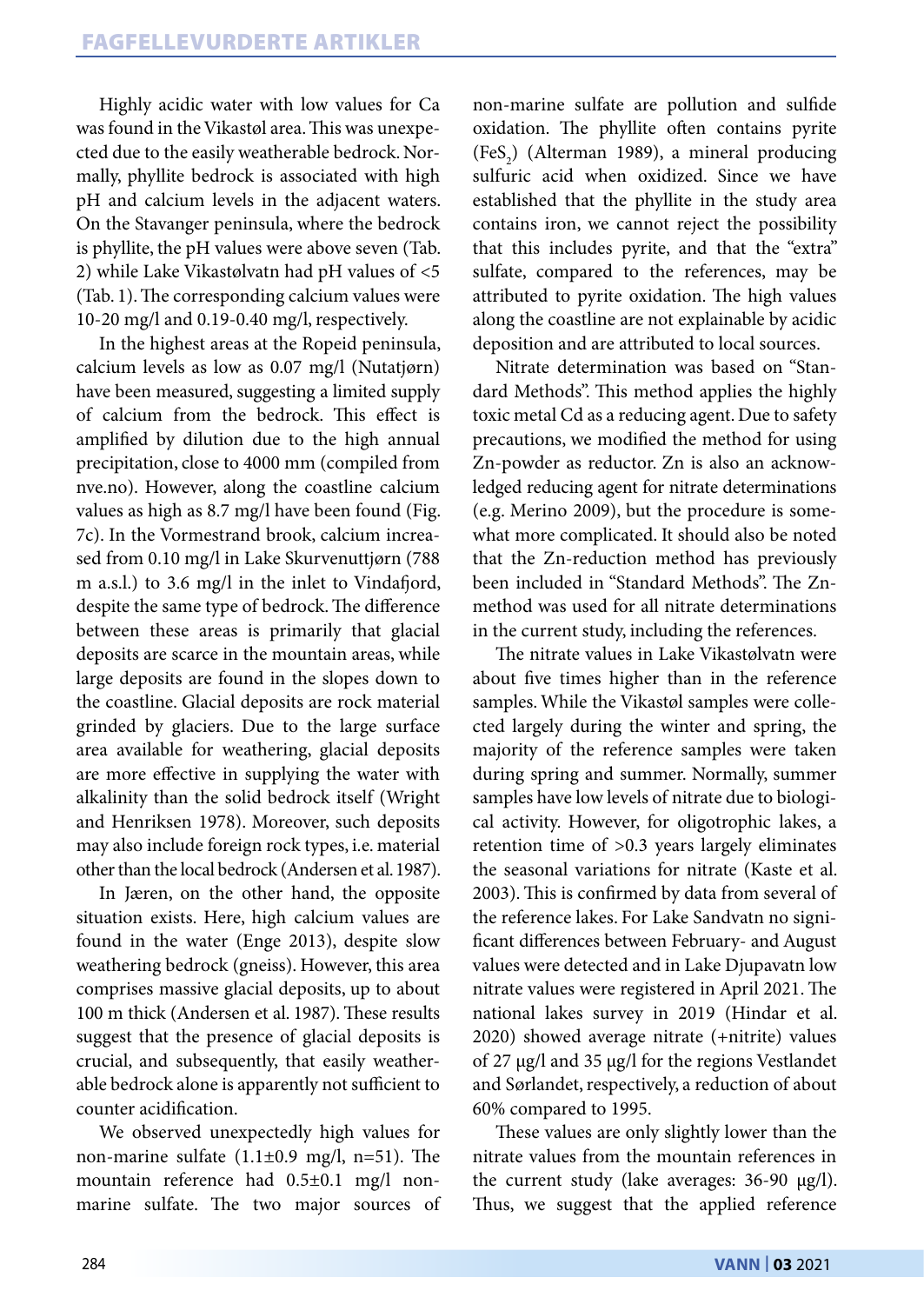Highly acidic water with low values for Ca was found in the Vikastøl area. This was unexpected due to the easily weatherable bedrock. Normally, phyllite bedrock is associated with high pH and calcium levels in the adjacent waters. On the Stavanger peninsula, where the bedrock is phyllite, the pH values were above seven (Tab. 2) while Lake Vikastølvatn had pH values of <5 (Tab. 1). The corresponding calcium values were 10-20 mg/l and 0.19-0.40 mg/l, respectively.

In the highest areas at the Ropeid peninsula, calcium levels as low as 0.07 mg/l (Nutatjørn) have been measured, suggesting a limited supply of calcium from the bedrock. This effect is amplified by dilution due to the high annual precipitation, close to 4000 mm (compiled from nve.no). However, along the coastline calcium values as high as 8.7 mg/l have been found (Fig. 7c). In the Vormestrand brook, calcium increased from 0.10 mg/l in Lake Skurvenuttjørn (788 m a.s.l.) to 3.6 mg/l in the inlet to Vindafjord, despite the same type of bedrock. The difference between these areas is primarily that glacial deposits are scarce in the mountain areas, while large deposits are found in the slopes down to the coastline. Glacial deposits are rock material grinded by glaciers. Due to the large surface area available for weathering, glacial deposits are more effective in supplying the water with alkalinity than the solid bedrock itself (Wright and Henriksen 1978). Moreover, such deposits may also include foreign rock types, i.e. material other than the local bedrock (Andersen et al. 1987).

In Jæren, on the other hand, the opposite situation exists. Here, high calcium values are found in the water (Enge 2013), despite slow weathering bedrock (gneiss). However, this area comprises massive glacial deposits, up to about 100 m thick (Andersen et al. 1987). These results suggest that the presence of glacial deposits is crucial, and subsequently, that easily weatherable bedrock alone is apparently not sufficient to counter acidification.

We observed unexpectedly high values for non-marine sulfate (1.1±0.9 mg/l, n=51). The mountain reference had 0.5±0.1 mg/l nonmarine sulfate. The two major sources of non-marine sulfate are pollution and sulfide oxidation. The phyllite often contains pyrite  $(Fes<sub>2</sub>)$  (Alterman 1989), a mineral producing sulfuric acid when oxidized. Since we have established that the phyllite in the study area contains iron, we cannot reject the possibility that this includes pyrite, and that the "extra" sulfate, compared to the references, may be attributed to pyrite oxidation. The high values along the coastline are not explainable by acidic deposition and are attributed to local sources.

Nitrate determination was based on "Standard Methods". This method applies the highly toxic metal Cd as a reducing agent. Due to safety precautions, we modified the method for using Zn-powder as reductor. Zn is also an acknowledged reducing agent for nitrate determinations (e.g. Merino 2009), but the procedure is somewhat more complicated. It should also be noted that the Zn-reduction method has previously been included in "Standard Methods". The Znmethod was used for all nitrate determinations in the current study, including the references.

The nitrate values in Lake Vikastølvatn were about five times higher than in the reference samples. While the Vikastøl samples were collected largely during the winter and spring, the majority of the reference samples were taken during spring and summer. Normally, summer samples have low levels of nitrate due to biological activity. However, for oligotrophic lakes, a retention time of >0.3 years largely eliminates the seasonal variations for nitrate (Kaste et al. 2003). This is confirmed by data from several of the reference lakes. For Lake Sandvatn no significant differences between February- and August values were detected and in Lake Djupavatn low nitrate values were registered in April 2021. The national lakes survey in 2019 (Hindar et al. 2020) showed average nitrate (+nitrite) values of 27 µg/l and 35 µg/l for the regions Vestlandet and Sørlandet, respectively, a reduction of about 60% compared to 1995.

These values are only slightly lower than the nitrate values from the mountain references in the current study (lake averages: 36-90 µg/l). Thus, we suggest that the applied reference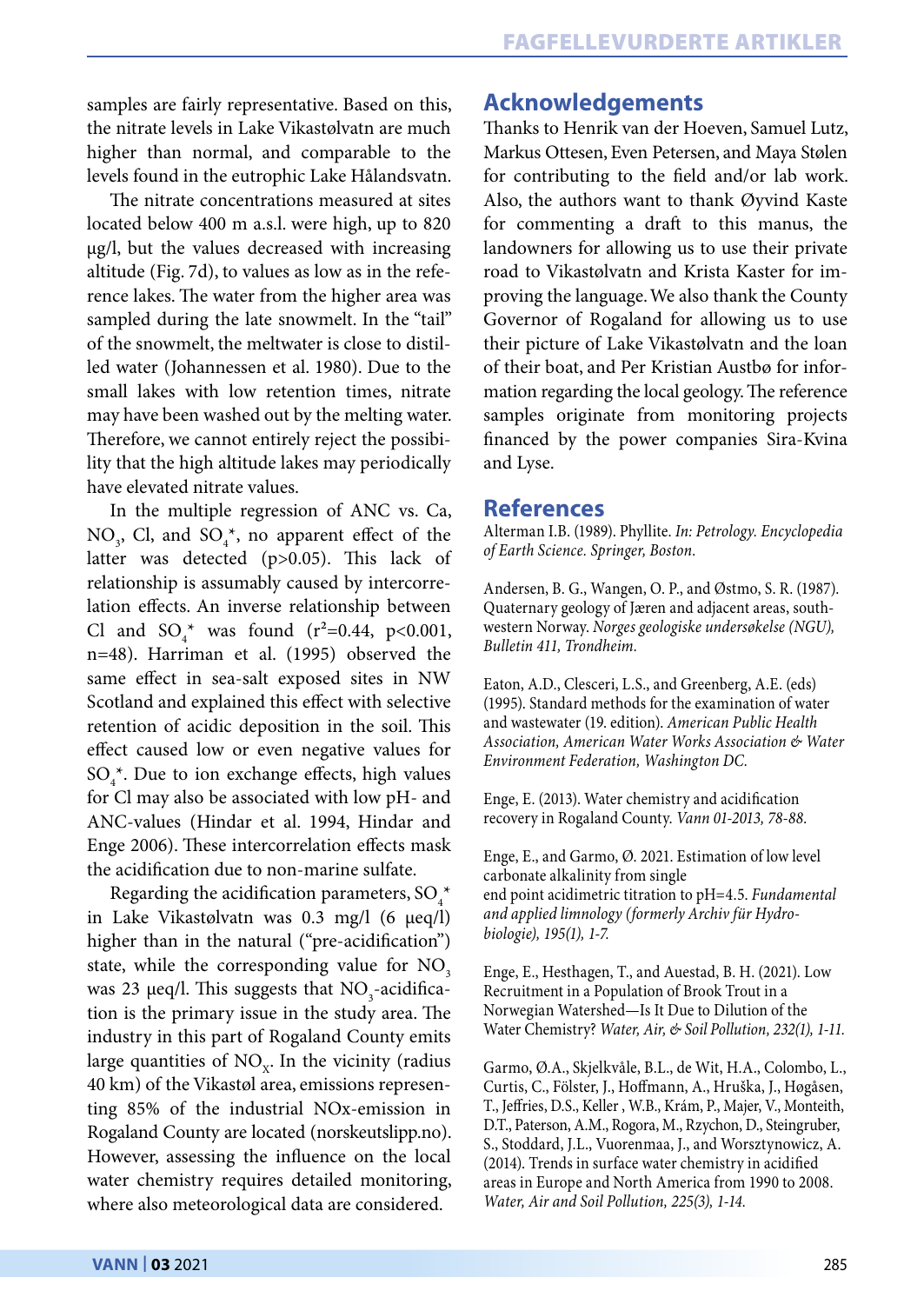samples are fairly representative. Based on this, the nitrate levels in Lake Vikastølvatn are much higher than normal, and comparable to the levels found in the eutrophic Lake Hålandsvatn.

The nitrate concentrations measured at sites located below 400 m a.s.l. were high, up to 820 µg/l, but the values decreased with increasing altitude (Fig. 7d), to values as low as in the reference lakes. The water from the higher area was sampled during the late snowmelt. In the "tail" of the snowmelt, the meltwater is close to distilled water (Johannessen et al. 1980). Due to the small lakes with low retention times, nitrate may have been washed out by the melting water. Therefore, we cannot entirely reject the possibility that the high altitude lakes may periodically have elevated nitrate values.

In the multiple regression of ANC vs. Ca,  $NO<sub>3</sub>$ , Cl, and  $SO<sub>4</sub><sup>*</sup>$ , no apparent effect of the latter was detected (p>0.05). This lack of relationship is assumably caused by intercorrelation effects. An inverse relationship between Cl and  $SO_4^*$  was found (r<sup>2</sup>=0.44, p<0.001, n=48). Harriman et al. (1995) observed the same effect in sea-salt exposed sites in NW Scotland and explained this effect with selective retention of acidic deposition in the soil. This effect caused low or even negative values for  $SO_4^*$ . Due to ion exchange effects, high values for Cl may also be associated with low pH- and ANC-values (Hindar et al. 1994, Hindar and Enge 2006). These intercorrelation effects mask the acidification due to non-marine sulfate.

Regarding the acidification parameters, SO $_4^*$ in Lake Vikastølvatn was 0.3 mg/l (6 µeq/l) higher than in the natural ("pre-acidification") state, while the corresponding value for  $NO<sub>3</sub>$ was 23  $\mu$ eq/l. This suggests that NO<sub>3</sub>-acidification is the primary issue in the study area. The industry in this part of Rogaland County emits large quantities of  $NO<sub>x</sub>$ . In the vicinity (radius 40 km) of the Vikastøl area, emissions representing 85% of the industrial NOx-emission in Rogaland County are located (norskeutslipp.no). However, assessing the influence on the local water chemistry requires detailed monitoring, where also meteorological data are considered.

# **Acknowledgements**

Thanks to Henrik van der Hoeven, Samuel Lutz, Markus Ottesen, Even Petersen, and Maya Stølen for contributing to the field and/or lab work. Also, the authors want to thank Øyvind Kaste for commenting a draft to this manus, the landowners for allowing us to use their private road to Vikastølvatn and Krista Kaster for improving the language. We also thank the County Governor of Rogaland for allowing us to use their picture of Lake Vikastølvatn and the loan of their boat, and Per Kristian Austbø for information regarding the local geology. The reference samples originate from monitoring projects financed by the power companies Sira-Kvina and Lyse.

# **References**

Alterman I.B. (1989). Phyllite. *In: Petrology. Encyclopedia of Earth Science. Springer, Boston.*

Andersen, B. G., Wangen, O. P., and Østmo, S. R. (1987). Quaternary geology of Jæren and adjacent areas, southwestern Norway. *Norges geologiske undersøkelse (NGU), Bulletin 411, Trondheim.* 

Eaton, A.D., Clesceri, L.S., and Greenberg, A.E. (eds) (1995). Standard methods for the examination of water and wastewater (19. edition). *American Public Health Association, American Water Works Association & Water Environment Federation, Washington DC.*

Enge, E. (2013). Water chemistry and acidification recovery in Rogaland County. *Vann 01-2013, 78-88.*

Enge, E., and Garmo, Ø. 2021. Estimation of low level carbonate alkalinity from single end point acidimetric titration to pH=4.5. *Fundamental and applied limnology (formerly Archiv für Hydrobiologie), 195(1), 1-7.*

Enge, E., Hesthagen, T., and Auestad, B. H. (2021). Low Recruitment in a Population of Brook Trout in a Norwegian Watershed—Is It Due to Dilution of the Water Chemistry? *Water, Air, & Soil Pollution, 232(1), 1-11.*

Garmo, Ø.A., Skjelkvåle, B.L., de Wit, H.A., Colombo, L., Curtis, C., Fölster, J., Hoffmann, A., Hruška, J., Høgåsen, T., Jeffries, D.S., Keller , W.B., Krám, P., Majer, V., Monteith, D.T., Paterson, A.M., Rogora, M., Rzychon, D., Steingruber, S., Stoddard, J.L., Vuorenmaa, J., and Worsztynowicz, A. (2014). Trends in surface water chemistry in acidified areas in Europe and North America from 1990 to 2008. *Water, Air and Soil Pollution, 225(3), 1-14.*